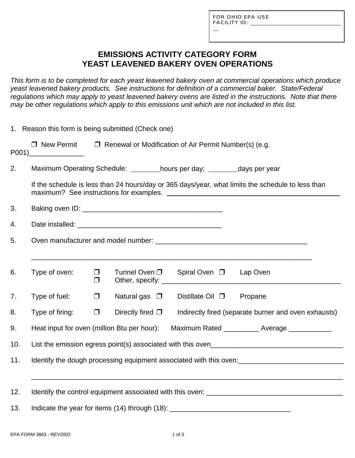L

# **EMISSIONS ACTIVITY CATEGORY FORM YEAST LEAVENED BAKERY OVEN OPERATIONS**

*This form is to be completed for each yeast leavened bakery oven at commercial operations which produce yeast leavened bakery products. See instructions for definition of a commercial baker. State/Federal regulations which may apply to yeast leavened bakery ovens are listed in the instructions. Note that there may be other regulations which apply to this emissions unit which are not included in this list.*

|     | 1. Reason this form is being submitted (Check one)                                                |                  |                       |                                                                                |                                                      |  |  |  |
|-----|---------------------------------------------------------------------------------------------------|------------------|-----------------------|--------------------------------------------------------------------------------|------------------------------------------------------|--|--|--|
|     |                                                                                                   |                  |                       | $\Box$ New Permit $\Box$ Renewal or Modification of Air Permit Number(s) (e.g. |                                                      |  |  |  |
| 2.  | Maximum Operating Schedule: hours per day; _______ days per year                                  |                  |                       |                                                                                |                                                      |  |  |  |
|     | If the schedule is less than 24 hours/day or 365 days/year, what limits the schedule to less than |                  |                       |                                                                                |                                                      |  |  |  |
| 3.  |                                                                                                   |                  |                       |                                                                                |                                                      |  |  |  |
| 4.  |                                                                                                   |                  |                       |                                                                                |                                                      |  |  |  |
| 5.  |                                                                                                   |                  |                       |                                                                                |                                                      |  |  |  |
|     |                                                                                                   |                  |                       |                                                                                |                                                      |  |  |  |
| 6.  | Type of oven:                                                                                     | $\Box$<br>$\Box$ | Tunnel Oven $\square$ | Spiral Oven □ Lap Oven                                                         |                                                      |  |  |  |
| 7.  | Type of fuel:                                                                                     | $\Box$           | Natural gas $\Box$    | Distillate Oil $\square$                                                       | Propane                                              |  |  |  |
| 8.  | Type of firing:                                                                                   | $\Box$           | Directly fired $\Box$ |                                                                                | Indirectly fired (separate burner and oven exhausts) |  |  |  |
| 9.  | Heat input for oven (million Btu per hour):<br>Maximum Rated ____________ Average ____________    |                  |                       |                                                                                |                                                      |  |  |  |
| 10. |                                                                                                   |                  |                       |                                                                                |                                                      |  |  |  |
| 11. |                                                                                                   |                  |                       |                                                                                |                                                      |  |  |  |
|     |                                                                                                   |                  |                       |                                                                                |                                                      |  |  |  |
| 12. |                                                                                                   |                  |                       |                                                                                |                                                      |  |  |  |
| 13. | Indicate the year for items (14) through (18): _________________________________                  |                  |                       |                                                                                |                                                      |  |  |  |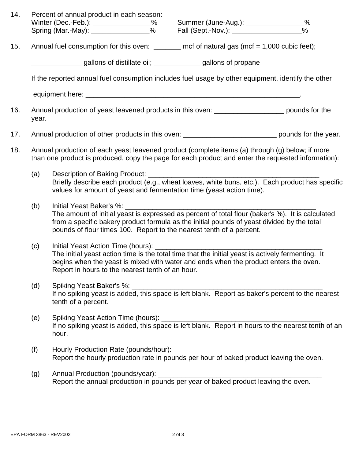| 14. |                                                                                                                                                                                                       | Percent of annual product in each season:                                                                                                                                                                                                                                                                                                                                                                                                                                                                |  |  |  |               |  |  |  |  |
|-----|-------------------------------------------------------------------------------------------------------------------------------------------------------------------------------------------------------|----------------------------------------------------------------------------------------------------------------------------------------------------------------------------------------------------------------------------------------------------------------------------------------------------------------------------------------------------------------------------------------------------------------------------------------------------------------------------------------------------------|--|--|--|---------------|--|--|--|--|
|     |                                                                                                                                                                                                       | Winter (Dec.-Feb.): ________________% Summer (June-Aug.): ________________%<br>Spring (Mar.-May): ________________% Fall (Sept.-Nov.): ________________________                                                                                                                                                                                                                                                                                                                                          |  |  |  | $\frac{0}{0}$ |  |  |  |  |
| 15. | Annual fuel consumption for this oven: $\_\_\_\_\_\_\_\$ ncf of natural gas (mcf = 1,000 cubic feet);                                                                                                 |                                                                                                                                                                                                                                                                                                                                                                                                                                                                                                          |  |  |  |               |  |  |  |  |
|     |                                                                                                                                                                                                       | gallons of distillate oil; _____________gallons of propane                                                                                                                                                                                                                                                                                                                                                                                                                                               |  |  |  |               |  |  |  |  |
|     | If the reported annual fuel consumption includes fuel usage by other equipment, identify the other                                                                                                    |                                                                                                                                                                                                                                                                                                                                                                                                                                                                                                          |  |  |  |               |  |  |  |  |
|     |                                                                                                                                                                                                       |                                                                                                                                                                                                                                                                                                                                                                                                                                                                                                          |  |  |  |               |  |  |  |  |
| 16. | year.                                                                                                                                                                                                 | Annual production of yeast leavened products in this oven: _____________________ pounds for the                                                                                                                                                                                                                                                                                                                                                                                                          |  |  |  |               |  |  |  |  |
| 17. |                                                                                                                                                                                                       | Annual production of other products in this oven: _______________________________ pounds for the year.                                                                                                                                                                                                                                                                                                                                                                                                   |  |  |  |               |  |  |  |  |
| 18. | Annual production of each yeast leavened product (complete items (a) through (g) below; if more<br>than one product is produced, copy the page for each product and enter the requested information): |                                                                                                                                                                                                                                                                                                                                                                                                                                                                                                          |  |  |  |               |  |  |  |  |
|     | (a)                                                                                                                                                                                                   | Description of Baking Product:<br>Briefly describe each product (e.g., wheat loaves, white buns, etc.). Each product has specific<br>values for amount of yeast and fermentation time (yeast action time).                                                                                                                                                                                                                                                                                               |  |  |  |               |  |  |  |  |
|     | (b)                                                                                                                                                                                                   | Initial Yeast Baker's %: New York State State State State State State State State State State State State State State State State State State State State State State State State State State State State State State State St<br>The amount of initial yeast is expressed as percent of total flour (baker's %). It is calculated<br>from a specific bakery product formula as the initial pounds of yeast divided by the total<br>pounds of flour times 100. Report to the nearest tenth of a percent. |  |  |  |               |  |  |  |  |
|     | (c)                                                                                                                                                                                                   | The initial yeast action time is the total time that the initial yeast is actively fermenting. It<br>begins when the yeast is mixed with water and ends when the product enters the oven.<br>Report in hours to the nearest tenth of an hour.                                                                                                                                                                                                                                                            |  |  |  |               |  |  |  |  |
|     | (d)                                                                                                                                                                                                   | tenth of a percent.                                                                                                                                                                                                                                                                                                                                                                                                                                                                                      |  |  |  |               |  |  |  |  |
|     | (e)                                                                                                                                                                                                   | hour.                                                                                                                                                                                                                                                                                                                                                                                                                                                                                                    |  |  |  |               |  |  |  |  |
|     | (f)                                                                                                                                                                                                   | Report the hourly production rate in pounds per hour of baked product leaving the oven.                                                                                                                                                                                                                                                                                                                                                                                                                  |  |  |  |               |  |  |  |  |
|     | (g)                                                                                                                                                                                                   |                                                                                                                                                                                                                                                                                                                                                                                                                                                                                                          |  |  |  |               |  |  |  |  |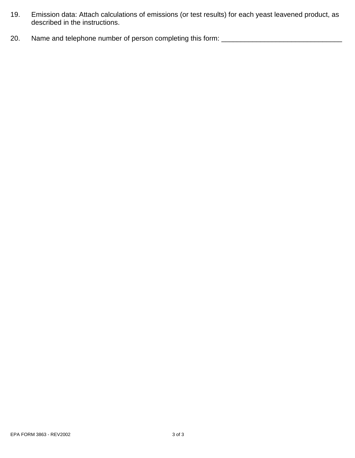- 19. Emission data: Attach calculations of emissions (or test results) for each yeast leavened product, as described in the instructions.
- 20. Name and telephone number of person completing this form: \_\_\_\_\_\_\_\_\_\_\_\_\_\_\_\_\_\_\_\_\_\_\_\_\_\_\_\_\_\_\_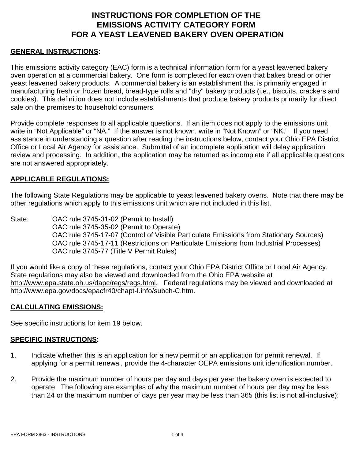## **INSTRUCTIONS FOR COMPLETION OF THE EMISSIONS ACTIVITY CATEGORY FORM FOR A YEAST LEAVENED BAKERY OVEN OPERATION**

### **GENERAL INSTRUCTIONS:**

This emissions activity category (EAC) form is a technical information form for a yeast leavened bakery oven operation at a commercial bakery. One form is completed for each oven that bakes bread or other yeast leavened bakery products. A commercial bakery is an establishment that is primarily engaged in manufacturing fresh or frozen bread, bread-type rolls and "dry" bakery products (i.e., biscuits, crackers and cookies). This definition does not include establishments that produce bakery products primarily for direct sale on the premises to household consumers.

Provide complete responses to all applicable questions. If an item does not apply to the emissions unit, write in "Not Applicable" or "NA." If the answer is not known, write in "Not Known" or "NK." If you need assistance in understanding a question after reading the instructions below, contact your Ohio EPA District Office or Local Air Agency for assistance. Submittal of an incomplete application will delay application review and processing. In addition, the application may be returned as incomplete if all applicable questions are not answered appropriately.

#### **APPLICABLE REGULATIONS:**

The following State Regulations may be applicable to yeast leavened bakery ovens. Note that there may be other regulations which apply to this emissions unit which are not included in this list.

State: OAC rule 3745-31-02 (Permit to Install) OAC rule 3745-35-02 (Permit to Operate) OAC rule 3745-17-07 (Control of Visible Particulate Emissions from Stationary Sources) OAC rule 3745-17-11 (Restrictions on Particulate Emissions from Industrial Processes) OAC rule 3745-77 (Title V Permit Rules)

If you would like a copy of these regulations, contact your Ohio EPA District Office or Local Air Agency. State regulations may also be viewed and downloaded from the Ohio EPA website at http://www.epa.state.oh.us/dapc/regs/regs.html. Federal regulations may be viewed and downloaded at http://www.epa.gov/docs/epacfr40/chapt-I.info/subch-C.htm.

#### **CALCULATING EMISSIONS:**

See specific instructions for item 19 below.

#### **SPECIFIC INSTRUCTIONS:**

- 1. Indicate whether this is an application for a new permit or an application for permit renewal. If applying for a permit renewal, provide the 4-character OEPA emissions unit identification number.
- 2. Provide the maximum number of hours per day and days per year the bakery oven is expected to operate. The following are examples of why the maximum number of hours per day may be less than 24 or the maximum number of days per year may be less than 365 (this list is not all-inclusive):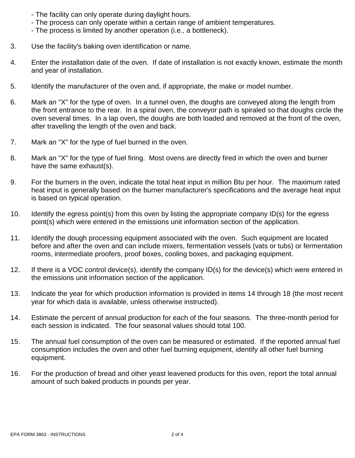- The facility can only operate during daylight hours.
- The process can only operate within a certain range of ambient temperatures.
- The process is limited by another operation (i.e., a bottleneck).
- 3. Use the facility's baking oven identification or name.
- 4. Enter the installation date of the oven. If date of installation is not exactly known, estimate the month and year of installation.
- 5. Identify the manufacturer of the oven and, if appropriate, the make or model number.
- 6. Mark an "X" for the type of oven. In a tunnel oven, the doughs are conveyed along the length from the front entrance to the rear. In a spiral oven, the conveyor path is spiraled so that doughs circle the oven several times. In a lap oven, the doughs are both loaded and removed at the front of the oven, after travelling the length of the oven and back.
- 7. Mark an "X" for the type of fuel burned in the oven.
- 8. Mark an "X" for the type of fuel firing. Most ovens are directly fired in which the oven and burner have the same exhaust(s).
- 9. For the burners in the oven, indicate the total heat input in million Btu per hour. The maximum rated heat input is generally based on the burner manufacturer's specifications and the average heat input is based on typical operation.
- 10. Identify the egress point(s) from this oven by listing the appropriate company ID(s) for the egress point(s) which were entered in the emissions unit information section of the application.
- 11. Identify the dough processing equipment associated with the oven. Such equipment are located before and after the oven and can include mixers, fermentation vessels (vats or tubs) or fermentation rooms, intermediate proofers, proof boxes, cooling boxes, and packaging equipment.
- 12. If there is a VOC control device(s), identify the company ID(s) for the device(s) which were entered in the emissions unit information section of the application.
- 13. Indicate the year for which production information is provided in items 14 through 18 (the most recent year for which data is available, unless otherwise instructed).
- 14. Estimate the percent of annual production for each of the four seasons. The three-month period for each session is indicated. The four seasonal values should total 100.
- 15. The annual fuel consumption of the oven can be measured or estimated. If the reported annual fuel consumption includes the oven and other fuel burning equipment, identify all other fuel burning equipment.
- 16. For the production of bread and other yeast leavened products for this oven, report the total annual amount of such baked products in pounds per year.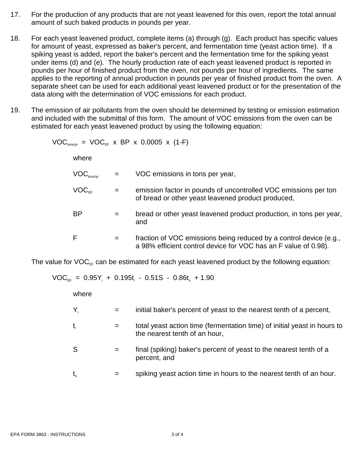- 17. For the production of any products that are not yeast leavened for this oven, report the total annual amount of such baked products in pounds per year.
- 18. For each yeast leavened product, complete items (a) through (g). Each product has specific values for amount of yeast, expressed as baker's percent, and fermentation time (yeast action time). If a spiking yeast is added, report the baker's percent and the fermentation time for the spiking yeast under items (d) and (e). The hourly production rate of each yeast leavened product is reported in pounds per hour of finished product from the oven, not pounds per hour of ingredients. The same applies to the reporting of annual production in pounds per year of finished product from the oven. A separate sheet can be used for each additional yeast leavened product or for the presentation of the data along with the determination of VOC emissions for each product.
- 19. The emission of air pollutants from the oven should be determined by testing or emission estimation and included with the submittal of this form. The amount of VOC emissions from the oven can be estimated for each yeast leavened product by using the following equation:

 $VOC<sub>tons/vr</sub> = VOC<sub>EF</sub> x BP x 0.0005 x (1-F)$ 

where

| $\mathsf{VOC}_\mathsf{tons/yr}$            |     | VOC emissions in tons per year,                                                                                                       |
|--------------------------------------------|-----|---------------------------------------------------------------------------------------------------------------------------------------|
| $\mathsf{VOC}_{\scriptscriptstyle \sf EE}$ |     | emission factor in pounds of uncontrolled VOC emissions per ton<br>of bread or other yeast leavened product produced,                 |
| BΡ                                         |     | bread or other yeast leavened product production, in tons per year,<br>and                                                            |
| F                                          | $=$ | fraction of VOC emissions being reduced by a control device (e.g.,<br>a 98% efficient control device for VOC has an F value of 0.98). |

The value for  $VOC_{\text{eff}}$  can be estimated for each yeast leavened product by the following equation:

$$
VOC_{EF} = 0.95Y_i + 0.195t_i - 0.51S - 0.86t_s + 1.90
$$

where

- $Y_i$  = initial baker's percent of yeast to the nearest tenth of a percent,
- $t_i$   $=$  total yeast action time (fermentation time) of initial yeast in hours to the nearest tenth of an hour,
- S  $=$  final (spiking) baker's percent of yeast to the nearest tenth of a percent, and
- $t<sub>s</sub>$  = spiking yeast action time in hours to the nearest tenth of an hour.